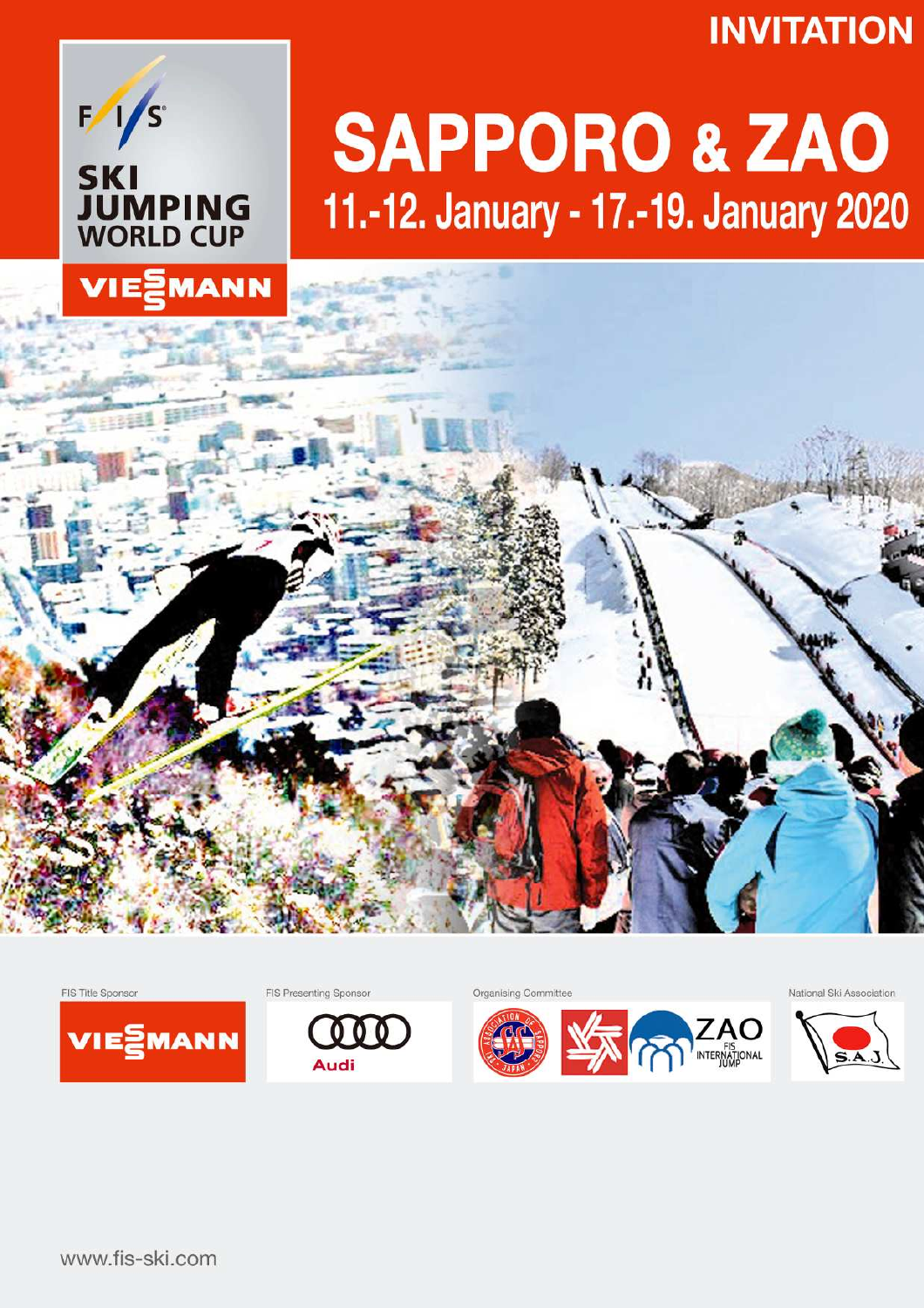## **INVITATION**



# **SAPPORO & ZAO** 11.-12. January - 17.-19. January 2020





FIS Presenting Sponsor





Organising Committee



National Ski Association

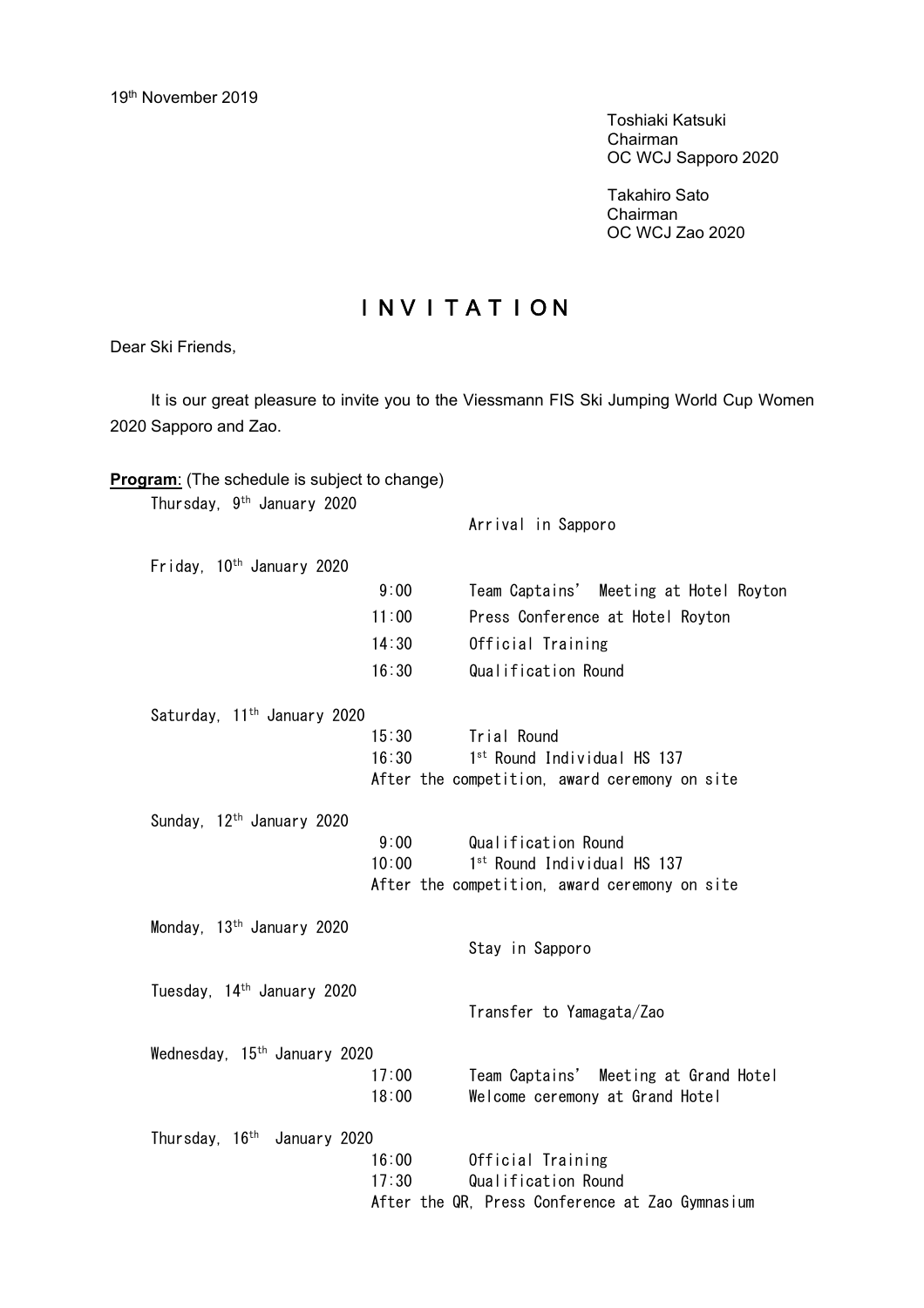Toshiaki Katsuki Chairman OC WCJ Sapporo 2020

Takahiro Sato Chairman OC WCJ Zao 2020

### INVITATION

Dear Ski Friends,

It is our great pleasure to invite you to the Viessmann FIS Ski Jumping World Cup Women 2020 Sapporo and Zao.

| Thursday, 9 <sup>th</sup> January 2020   |       |                                                 |
|------------------------------------------|-------|-------------------------------------------------|
|                                          |       | Arrival in Sapporo                              |
| Friday, 10 <sup>th</sup> January 2020    |       |                                                 |
|                                          | 9:00  | Team Captains' Meeting at Hotel Royton          |
|                                          | 11:00 | Press Conference at Hotel Royton                |
|                                          | 14:30 | Official Training                               |
|                                          | 16:30 | Qualification Round                             |
| Saturday, 11 <sup>th</sup> January 2020  |       |                                                 |
|                                          | 15:30 | Trial Round                                     |
|                                          | 16:30 | 1st Round Individual HS 137                     |
|                                          |       | After the competition, award ceremony on site   |
| Sunday, 12 <sup>th</sup> January 2020    |       |                                                 |
|                                          | 9:00  | Qualification Round                             |
|                                          | 10:00 | 1st Round Individual HS 137                     |
|                                          |       | After the competition, award ceremony on site   |
| Monday, 13 <sup>th</sup> January 2020    |       |                                                 |
|                                          |       | Stay in Sapporo                                 |
| Tuesday, 14 <sup>th</sup> January 2020   |       |                                                 |
|                                          |       | Transfer to Yamagata/Zao                        |
|                                          |       |                                                 |
| Wednesday, 15 <sup>th</sup> January 2020 |       |                                                 |
|                                          | 17:00 | Team Captains' Meeting at Grand Hotel           |
|                                          | 18:00 | Welcome ceremony at Grand Hotel                 |
| Thursday, 16 <sup>th</sup> January 2020  |       |                                                 |
|                                          | 16:00 | Official Training                               |
|                                          | 17:30 | Qualification Round                             |
|                                          |       | After the QR, Press Conference at Zao Gymnasium |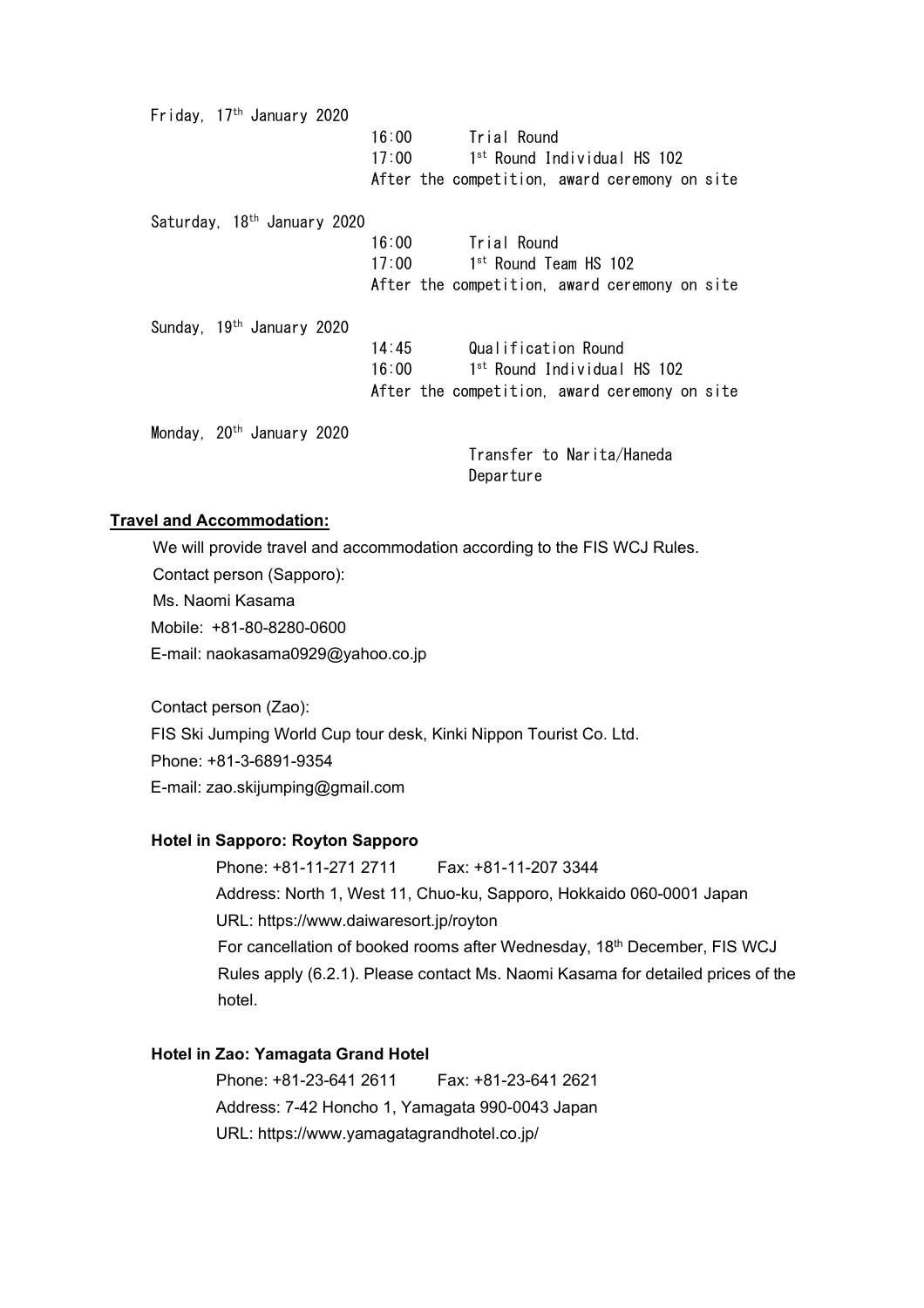Friday, 17 th January 2020 16:00 Trial Round  $17:00$ st Round Individual HS 102 After the competition, award ceremony on site Saturday, 18 th January 2020 16:00 Trial Round  $17:00$ st Round Team HS 102 After the competition, award ceremony on site Sunday, 19<sup>th</sup> January 2020 14:45 Qualification Round  $16:00$ st Round Individual HS 102 After the competition, award ceremony on site Monday, 20 th January 2020 Transfer to Narita/Haneda

#### **Travel and Accommodation:**

We will provide travel and accommodation according to the FIS WCJ Rules. Contact person (Sapporo): Ms. Naomi Kasama Mobile: +81-80-8280-0600 E-mail: [naokasama0929@yahoo.co.jp](mailto:naokasama0929@yahoo.co.jp)

Contact person (Zao): FIS Ski Jumping World Cup tour desk, Kinki Nippon Tourist Co. Ltd. Phone: +81-3-6891-9354 E-mail: [zao.skijumping@gmail.com](mailto:zao.skijumping@gmail.com)

#### **Hotel in Sapporo: Royton Sapporo**

 Phone: +81-11-271 2711 Fax: +81-11-207 3344 Address: North 1, West 11, Chuo-ku, Sapporo, Hokkaido 060-0001 Japan URL: <https://www.daiwaresort.jp/royton> For cancellation of booked rooms after Wednesday, 18<sup>th</sup> December, FIS WCJ Rules apply (6.2.1). Please contact Ms. Naomi Kasama for detailed prices of the hotel.

**Departure** 

#### **Hotel in Zao: Yamagata Grand Hotel**

Phone: +81-23-641 2611 Fax: +81-23-641 2621 Address: 7-42 Honcho 1, Yamagata 990-0043 Japan URL: <https://www.yamagatagrandhotel.co.jp/>